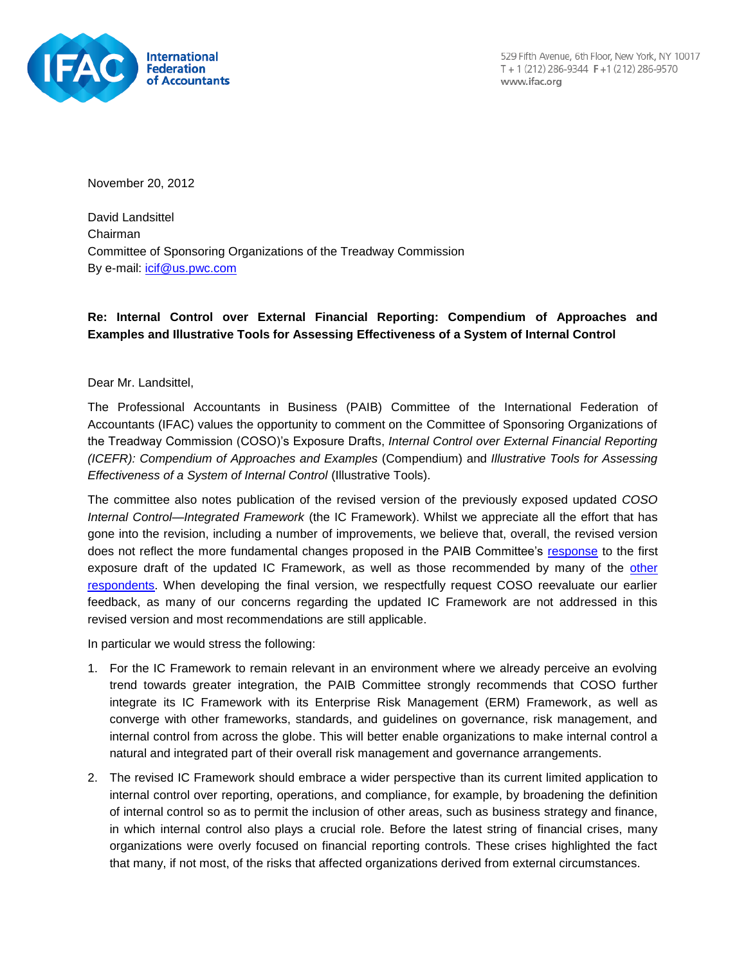

529 Fifth Avenue, 6th Floor, New York, NY 10017 T + 1 (212) 286-9344 F + 1 (212) 286-9570 www.ifac.org

November 20, 2012

David Landsittel Chairman Committee of Sponsoring Organizations of the Treadway Commission By e-mail: [icif@us.pwc.com](mailto:icif@us.pwc.com)

## **Re: Internal Control over External Financial Reporting: Compendium of Approaches and Examples and Illustrative Tools for Assessing Effectiveness of a System of Internal Control**

#### Dear Mr. Landsittel,

The Professional Accountants in Business (PAIB) Committee of the International Federation of Accountants (IFAC) values the opportunity to comment on the Committee of Sponsoring Organizations of the Treadway Commission (COSO)'s Exposure Drafts, *Internal Control over External Financial Reporting (ICEFR): Compendium of Approaches and Examples* (Compendium) and *Illustrative Tools for Assessing Effectiveness of a System of Internal Control* (Illustrative Tools).

The committee also notes publication of the revised version of the previously exposed updated *COSO Internal Control—Integrated Framework* (the IC Framework). Whilst we appreciate all the effort that has gone into the revision, including a number of improvements, we believe that, overall, the revised version does not reflect the more fundamental changes proposed in the PAIB Committee's [response](http://www.ifac.org/publications-resources/paib-committee-response-cosos-internal-control-integrated-framework) to the first exposure draft of the updated IC Framework, as well as those recommended by many of the [other](http://www.ic.coso.org/pages/view-comments.aspx)  [respondents.](http://www.ic.coso.org/pages/view-comments.aspx) When developing the final version, we respectfully request COSO reevaluate our earlier feedback, as many of our concerns regarding the updated IC Framework are not addressed in this revised version and most recommendations are still applicable.

In particular we would stress the following:

- 1. For the IC Framework to remain relevant in an environment where we already perceive an evolving trend towards greater integration, the PAIB Committee strongly recommends that COSO further integrate its IC Framework with its Enterprise Risk Management (ERM) Framework, as well as converge with other frameworks, standards, and guidelines on governance, risk management, and internal control from across the globe. This will better enable organizations to make internal control a natural and integrated part of their overall risk management and governance arrangements.
- 2. The revised IC Framework should embrace a wider perspective than its current limited application to internal control over reporting, operations, and compliance, for example, by broadening the definition of internal control so as to permit the inclusion of other areas, such as business strategy and finance, in which internal control also plays a crucial role. Before the latest string of financial crises, many organizations were overly focused on financial reporting controls. These crises highlighted the fact that many, if not most, of the risks that affected organizations derived from external circumstances.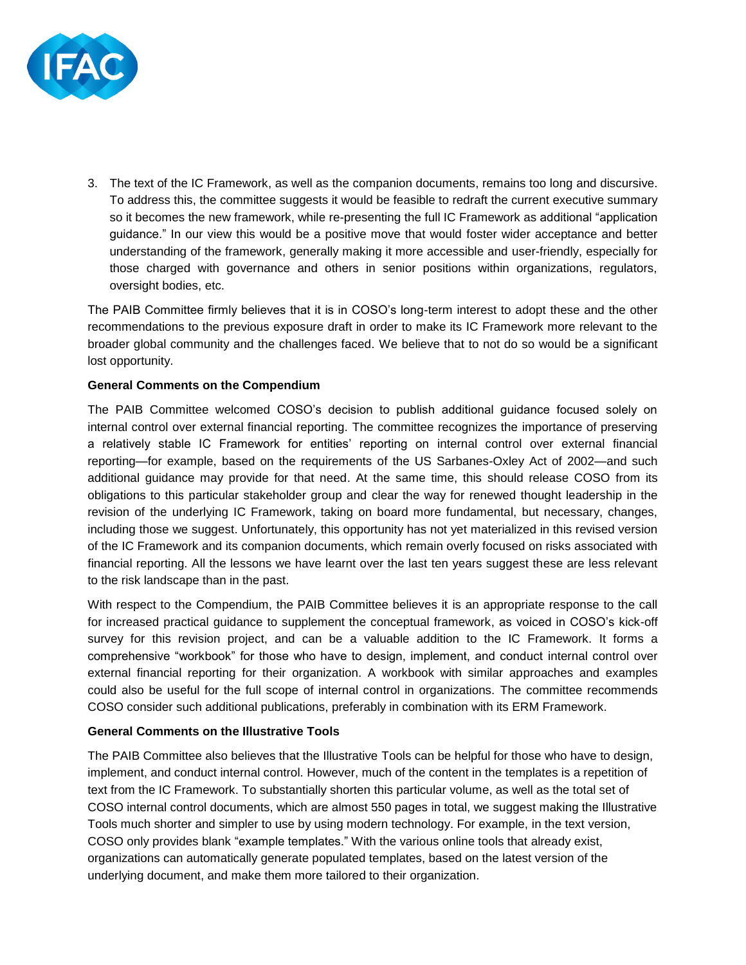

3. The text of the IC Framework, as well as the companion documents, remains too long and discursive. To address this, the committee suggests it would be feasible to redraft the current executive summary so it becomes the new framework, while re-presenting the full IC Framework as additional "application guidance." In our view this would be a positive move that would foster wider acceptance and better understanding of the framework, generally making it more accessible and user-friendly, especially for those charged with governance and others in senior positions within organizations, regulators, oversight bodies, etc.

The PAIB Committee firmly believes that it is in COSO's long-term interest to adopt these and the other recommendations to the previous exposure draft in order to make its IC Framework more relevant to the broader global community and the challenges faced. We believe that to not do so would be a significant lost opportunity.

### **General Comments on the Compendium**

The PAIB Committee welcomed COSO's decision to publish additional guidance focused solely on internal control over external financial reporting. The committee recognizes the importance of preserving a relatively stable IC Framework for entities' reporting on internal control over external financial reporting—for example, based on the requirements of the US Sarbanes-Oxley Act of 2002—and such additional guidance may provide for that need. At the same time, this should release COSO from its obligations to this particular stakeholder group and clear the way for renewed thought leadership in the revision of the underlying IC Framework, taking on board more fundamental, but necessary, changes, including those we suggest. Unfortunately, this opportunity has not yet materialized in this revised version of the IC Framework and its companion documents, which remain overly focused on risks associated with financial reporting. All the lessons we have learnt over the last ten years suggest these are less relevant to the risk landscape than in the past.

With respect to the Compendium, the PAIB Committee believes it is an appropriate response to the call for increased practical guidance to supplement the conceptual framework, as voiced in COSO's kick-off survey for this revision project, and can be a valuable addition to the IC Framework. It forms a comprehensive "workbook" for those who have to design, implement, and conduct internal control over external financial reporting for their organization. A workbook with similar approaches and examples could also be useful for the full scope of internal control in organizations. The committee recommends COSO consider such additional publications, preferably in combination with its ERM Framework.

#### **General Comments on the Illustrative Tools**

The PAIB Committee also believes that the Illustrative Tools can be helpful for those who have to design, implement, and conduct internal control. However, much of the content in the templates is a repetition of text from the IC Framework. To substantially shorten this particular volume, as well as the total set of COSO internal control documents, which are almost 550 pages in total, we suggest making the Illustrative Tools much shorter and simpler to use by using modern technology. For example, in the text version, COSO only provides blank "example templates." With the various online tools that already exist, organizations can automatically generate populated templates, based on the latest version of the underlying document, and make them more tailored to their organization.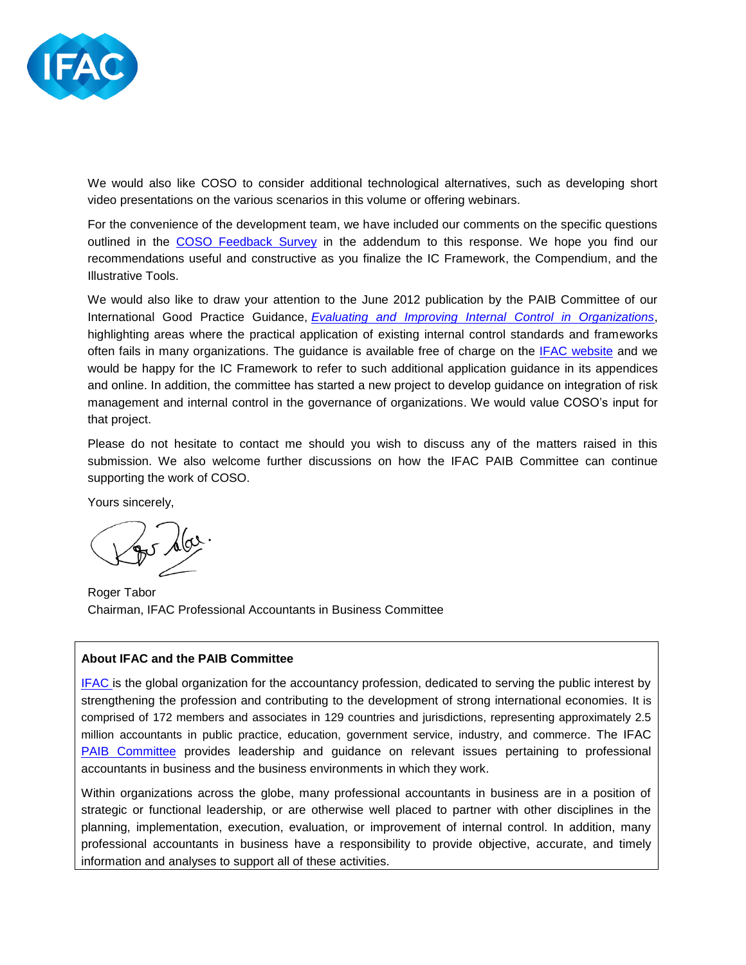

We would also like COSO to consider additional technological alternatives, such as developing short video presentations on the various scenarios in this volume or offering webinars.

For the convenience of the development team, we have included our comments on the specific questions outlined in the [COSO Feedback Survey](http://iiasurvey.theiia.org/flashsurvey/se.ashx?s=0B87D784371F5087) in the addendum to this response. We hope you find our recommendations useful and constructive as you finalize the IC Framework, the Compendium, and the Illustrative Tools.

We would also like to draw your attention to the June 2012 publication by the PAIB Committee of our International Good Practice Guidance, *[Evaluating and Improving Internal Control in Organizations](http://www.ifac.org/news-events/2012-06/ifac-issues-new-guidance-help-organizations-improve-internal-control)*, highlighting areas where the practical application of existing internal control standards and frameworks often fails in many organizations. The guidance is available free of charge on the [IFAC website](http://www.ifac.org/) and we would be happy for the IC Framework to refer to such additional application guidance in its appendices and online. In addition, the committee has started a new project to develop guidance on integration of risk management and internal control in the governance of organizations. We would value COSO's input for that project.

Please do not hesitate to contact me should you wish to discuss any of the matters raised in this submission. We also welcome further discussions on how the IFAC PAIB Committee can continue supporting the work of COSO.

Yours sincerely,

Roger Tabor Chairman, IFAC Professional Accountants in Business Committee

### **About IFAC and the PAIB Committee**

[IFAC](http://www.ifac.org/) is the global organization for the accountancy profession, dedicated to serving the public interest by strengthening the profession and contributing to the development of strong international economies. It is comprised of 172 members and associates in 129 countries and jurisdictions, representing approximately 2.5 million accountants in public practice, education, government service, industry, and commerce. The IFAC [PAIB Committee](http://www.ifac.org/paib) provides leadership and guidance on relevant issues pertaining to professional accountants in business and the business environments in which they work.

Within organizations across the globe, many professional accountants in business are in a position of strategic or functional leadership, or are otherwise well placed to partner with other disciplines in the planning, implementation, execution, evaluation, or improvement of internal control. In addition, many professional accountants in business have a responsibility to provide objective, accurate, and timely information and analyses to support all of these activities.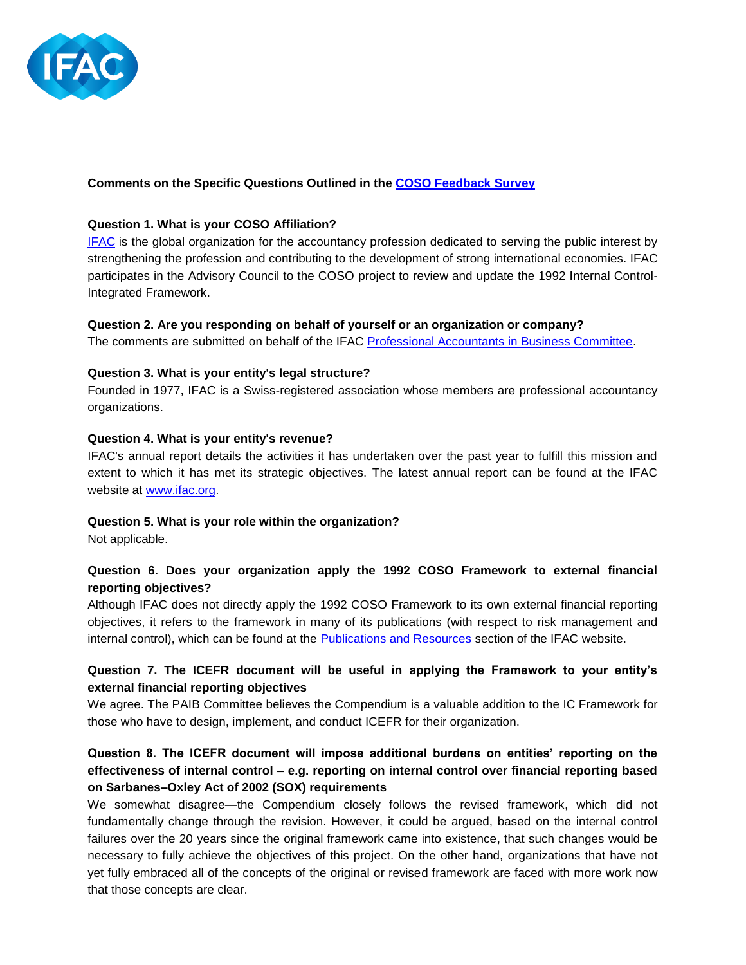

### **Comments on the Specific Questions Outlined in the [COSO Feedback Survey](http://iiasurvey.theiia.org/flashsurvey/se.ashx?s=0B87D784371F5087)**

### **Question 1. What is your COSO Affiliation?**

[IFAC](http://www.ifac.org/) is the global organization for the accountancy profession dedicated to serving the public interest by strengthening the profession and contributing to the development of strong international economies. IFAC participates in the Advisory Council to the COSO project to review and update the 1992 Internal Control-Integrated Framework.

#### **Question 2. Are you responding on behalf of yourself or an organization or company?**

The comments are submitted on behalf of the IFAC [Professional Accountants in Business Committee.](http://www.ifac.org/about-ifac/professional-accountants-business)

### **Question 3. What is your entity's legal structure?**

Founded in 1977, IFAC is a Swiss-registered association whose members are professional accountancy organizations.

#### **Question 4. What is your entity's revenue?**

IFAC's annual report details the activities it has undertaken over the past year to fulfill this mission and extent to which it has met its strategic objectives. The latest annual report can be found at the IFAC website at [www.ifac.org.](http://www.ifac.org/publications-resources/ifac-2011-annual-report)

### **Question 5. What is your role within the organization?**

Not applicable.

# **Question 6. Does your organization apply the 1992 COSO Framework to external financial reporting objectives?**

Although IFAC does not directly apply the 1992 COSO Framework to its own external financial reporting objectives, it refers to the framework in many of its publications (with respect to risk management and internal control), which can be found at the [Publications and Resources](http://www.ifac.org/publications-resources) section of the IFAC website.

# **Question 7. The ICEFR document will be useful in applying the Framework to your entity's external financial reporting objectives**

We agree. The PAIB Committee believes the Compendium is a valuable addition to the IC Framework for those who have to design, implement, and conduct ICEFR for their organization.

# **Question 8. The ICEFR document will impose additional burdens on entities' reporting on the effectiveness of internal control – e.g. reporting on internal control over financial reporting based on Sarbanes–Oxley Act of 2002 (SOX) requirements**

We somewhat disagree—the Compendium closely follows the revised framework, which did not fundamentally change through the revision. However, it could be argued, based on the internal control failures over the 20 years since the original framework came into existence, that such changes would be necessary to fully achieve the objectives of this project. On the other hand, organizations that have not yet fully embraced all of the concepts of the original or revised framework are faced with more work now that those concepts are clear.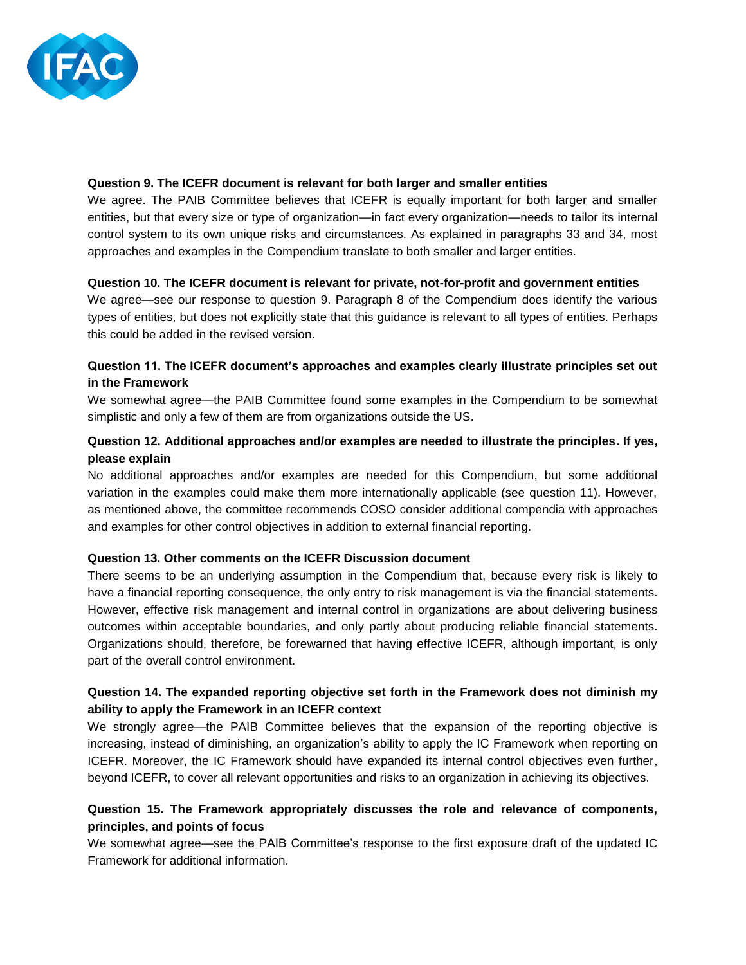

#### **Question 9. The ICEFR document is relevant for both larger and smaller entities**

We agree. The PAIB Committee believes that ICEFR is equally important for both larger and smaller entities, but that every size or type of organization—in fact every organization—needs to tailor its internal control system to its own unique risks and circumstances. As explained in paragraphs 33 and 34, most approaches and examples in the Compendium translate to both smaller and larger entities.

#### **Question 10. The ICEFR document is relevant for private, not-for-profit and government entities**

We agree—see our response to question 9. Paragraph 8 of the Compendium does identify the various types of entities, but does not explicitly state that this guidance is relevant to all types of entities. Perhaps this could be added in the revised version.

# **Question 11. The ICEFR document's approaches and examples clearly illustrate principles set out in the Framework**

We somewhat agree—the PAIB Committee found some examples in the Compendium to be somewhat simplistic and only a few of them are from organizations outside the US.

## **Question 12. Additional approaches and/or examples are needed to illustrate the principles. If yes, please explain**

No additional approaches and/or examples are needed for this Compendium, but some additional variation in the examples could make them more internationally applicable (see question 11). However, as mentioned above, the committee recommends COSO consider additional compendia with approaches and examples for other control objectives in addition to external financial reporting.

### **Question 13. Other comments on the ICEFR Discussion document**

There seems to be an underlying assumption in the Compendium that, because every risk is likely to have a financial reporting consequence, the only entry to risk management is via the financial statements. However, effective risk management and internal control in organizations are about delivering business outcomes within acceptable boundaries, and only partly about producing reliable financial statements. Organizations should, therefore, be forewarned that having effective ICEFR, although important, is only part of the overall control environment.

## **Question 14. The expanded reporting objective set forth in the Framework does not diminish my ability to apply the Framework in an ICEFR context**

We strongly agree—the PAIB Committee believes that the expansion of the reporting objective is increasing, instead of diminishing, an organization's ability to apply the IC Framework when reporting on ICEFR. Moreover, the IC Framework should have expanded its internal control objectives even further, beyond ICEFR, to cover all relevant opportunities and risks to an organization in achieving its objectives.

# **Question 15. The Framework appropriately discusses the role and relevance of components, principles, and points of focus**

We somewhat agree—see the PAIB Committee's response to the first exposure draft of the updated IC Framework for additional information.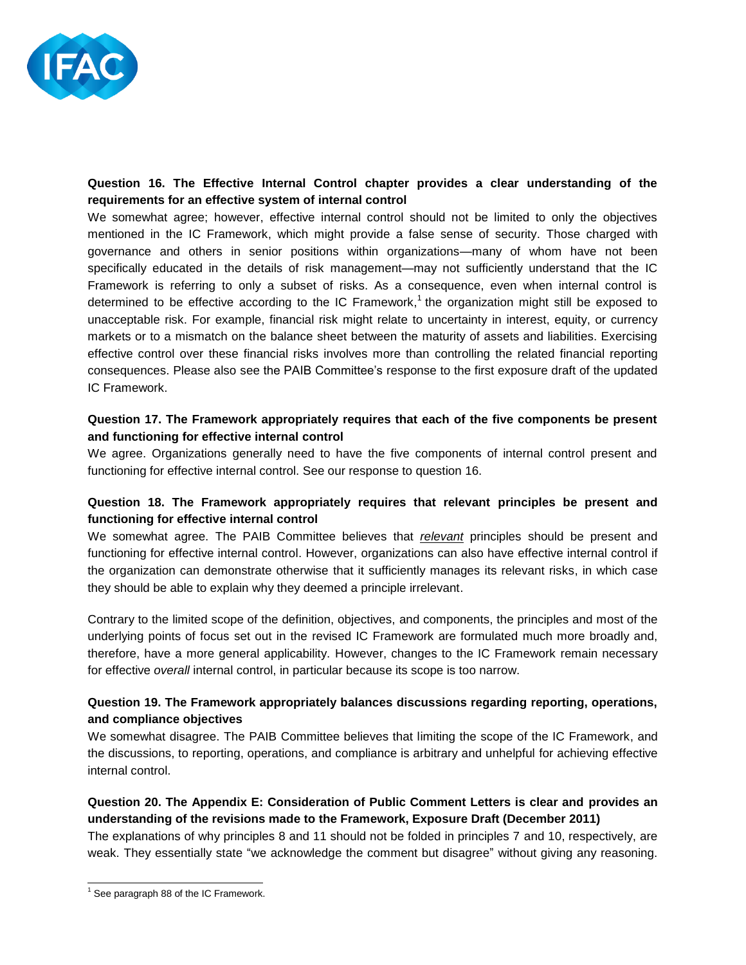

# **Question 16. The Effective Internal Control chapter provides a clear understanding of the requirements for an effective system of internal control**

We somewhat agree; however, effective internal control should not be limited to only the objectives mentioned in the IC Framework, which might provide a false sense of security. Those charged with governance and others in senior positions within organizations—many of whom have not been specifically educated in the details of risk management—may not sufficiently understand that the IC Framework is referring to only a subset of risks. As a consequence, even when internal control is determined to be effective according to the IC Framework,<sup>1</sup> the organization might still be exposed to unacceptable risk. For example, financial risk might relate to uncertainty in interest, equity, or currency markets or to a mismatch on the balance sheet between the maturity of assets and liabilities. Exercising effective control over these financial risks involves more than controlling the related financial reporting consequences. Please also see the PAIB Committee's response to the first exposure draft of the updated IC Framework.

# **Question 17. The Framework appropriately requires that each of the five components be present and functioning for effective internal control**

We agree. Organizations generally need to have the five components of internal control present and functioning for effective internal control. See our response to question 16.

# **Question 18. The Framework appropriately requires that relevant principles be present and functioning for effective internal control**

We somewhat agree. The PAIB Committee believes that *relevant* principles should be present and functioning for effective internal control. However, organizations can also have effective internal control if the organization can demonstrate otherwise that it sufficiently manages its relevant risks, in which case they should be able to explain why they deemed a principle irrelevant.

Contrary to the limited scope of the definition, objectives, and components, the principles and most of the underlying points of focus set out in the revised IC Framework are formulated much more broadly and, therefore, have a more general applicability. However, changes to the IC Framework remain necessary for effective *overall* internal control, in particular because its scope is too narrow.

### **Question 19. The Framework appropriately balances discussions regarding reporting, operations, and compliance objectives**

We somewhat disagree. The PAIB Committee believes that limiting the scope of the IC Framework, and the discussions, to reporting, operations, and compliance is arbitrary and unhelpful for achieving effective internal control.

# **Question 20. The Appendix E: Consideration of Public Comment Letters is clear and provides an understanding of the revisions made to the Framework, Exposure Draft (December 2011)**

The explanations of why principles 8 and 11 should not be folded in principles 7 and 10, respectively, are weak. They essentially state "we acknowledge the comment but disagree" without giving any reasoning.

l  $<sup>1</sup>$  See paragraph 88 of the IC Framework.</sup>